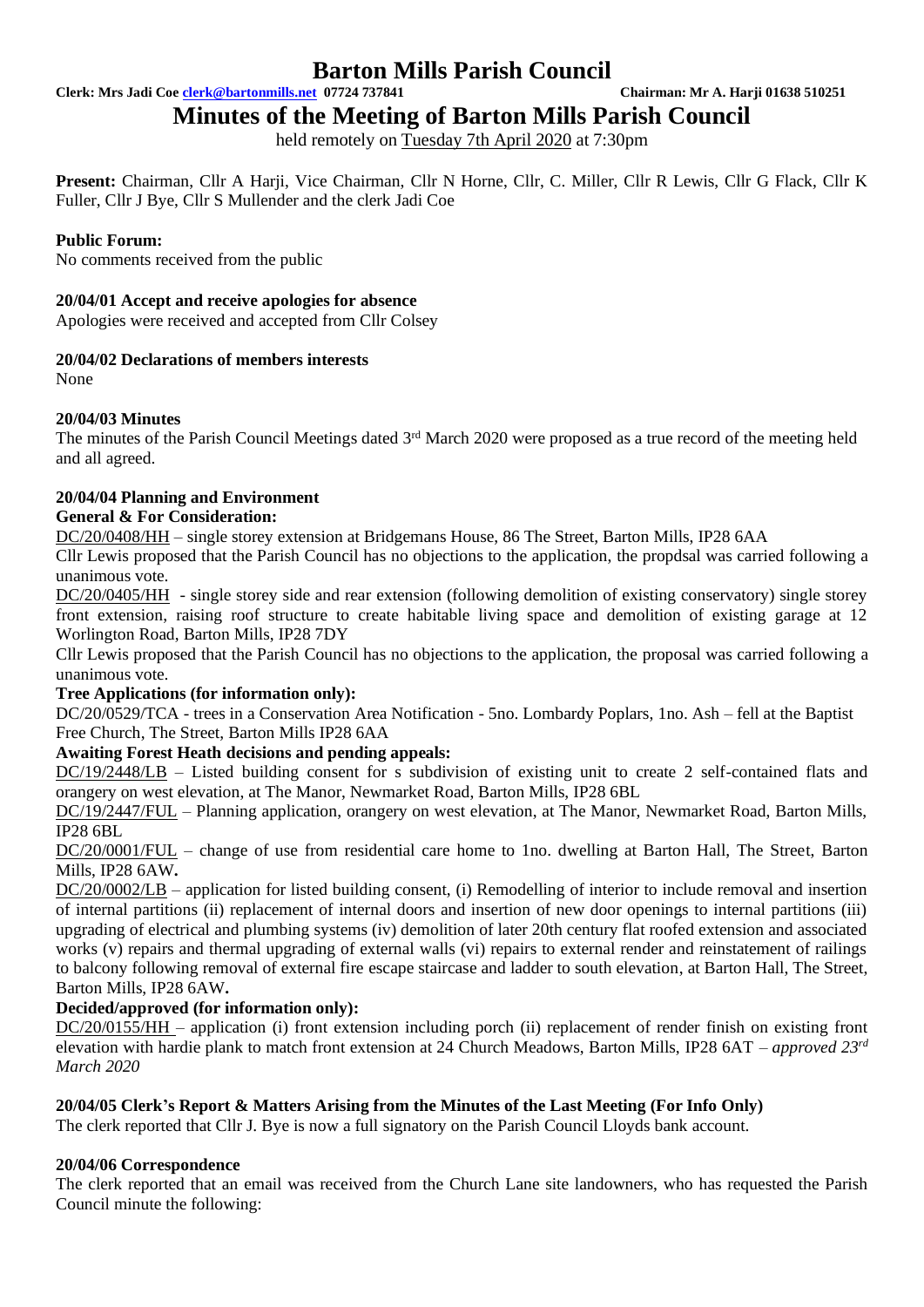**Clerk: Mrs Jadi Coe [clerk@bartonmills.net](mailto:clerk@bartonmills.net) 07724 737841 Chairman: Mr A. Harji 01638 510251**

**Minutes of the Meeting of Barton Mills Parish Council**

held remotely on Tuesday 7th April 2020 at 7:30pm

**Present:** Chairman, Cllr A Harji, Vice Chairman, Cllr N Horne, Cllr, C. Miller, Cllr R Lewis, Cllr G Flack, Cllr K Fuller, Cllr J Bye, Cllr S Mullender and the clerk Jadi Coe

# **Public Forum:**

No comments received from the public

# **20/04/01 Accept and receive apologies for absence**

Apologies were received and accepted from Cllr Colsey

# **20/04/02 Declarations of members interests**

None

# **20/04/03 Minutes**

The minutes of the Parish Council Meetings dated 3<sup>rd</sup> March 2020 were proposed as a true record of the meeting held and all agreed.

# **20/04/04 Planning and Environment**

# **General & For Consideration:**

DC/20/0408/HH – single storey extension at Bridgemans House, 86 The Street, Barton Mills, IP28 6AA

Cllr Lewis proposed that the Parish Council has no objections to the application, the propdsal was carried following a unanimous vote.

DC/20/0405/HH - single storey side and rear extension (following demolition of existing conservatory) single storey front extension, raising roof structure to create habitable living space and demolition of existing garage at 12 Worlington Road, Barton Mills, IP28 7DY

Cllr Lewis proposed that the Parish Council has no objections to the application, the proposal was carried following a unanimous vote.

# **Tree Applications (for information only):**

DC/20/0529/TCA - trees in a Conservation Area Notification - 5no. Lombardy Poplars, 1no. Ash – fell at the Baptist Free Church, The Street, Barton Mills IP28 6AA

# **Awaiting Forest Heath decisions and pending appeals:**

DC/19/2448/LB – Listed building consent for s subdivision of existing unit to create 2 self-contained flats and orangery on west elevation, at The Manor, Newmarket Road, Barton Mills, IP28 6BL

DC/19/2447/FUL – Planning application, orangery on west elevation, at The Manor, Newmarket Road, Barton Mills, IP28 6BL

DC/20/0001/FUL – change of use from residential care home to 1no. dwelling at Barton Hall, The Street, Barton Mills, IP28 6AW**.**

DC/20/0002/LB – application for listed building consent, (i) Remodelling of interior to include removal and insertion of internal partitions (ii) replacement of internal doors and insertion of new door openings to internal partitions (iii) upgrading of electrical and plumbing systems (iv) demolition of later 20th century flat roofed extension and associated works (v) repairs and thermal upgrading of external walls (vi) repairs to external render and reinstatement of railings to balcony following removal of external fire escape staircase and ladder to south elevation, at Barton Hall, The Street, Barton Mills, IP28 6AW**.**

# **Decided/approved (for information only):**

DC/20/0155/HH – application (i) front extension including porch (ii) replacement of render finish on existing front elevation with hardie plank to match front extension at 24 Church Meadows, Barton Mills, IP28 6AT – *approved 23rd March 2020*

# **20/04/05 Clerk's Report & Matters Arising from the Minutes of the Last Meeting (For Info Only)**

The clerk reported that Cllr J. Bye is now a full signatory on the Parish Council Lloyds bank account.

# **20/04/06 Correspondence**

The clerk reported that an email was received from the Church Lane site landowners, who has requested the Parish Council minute the following: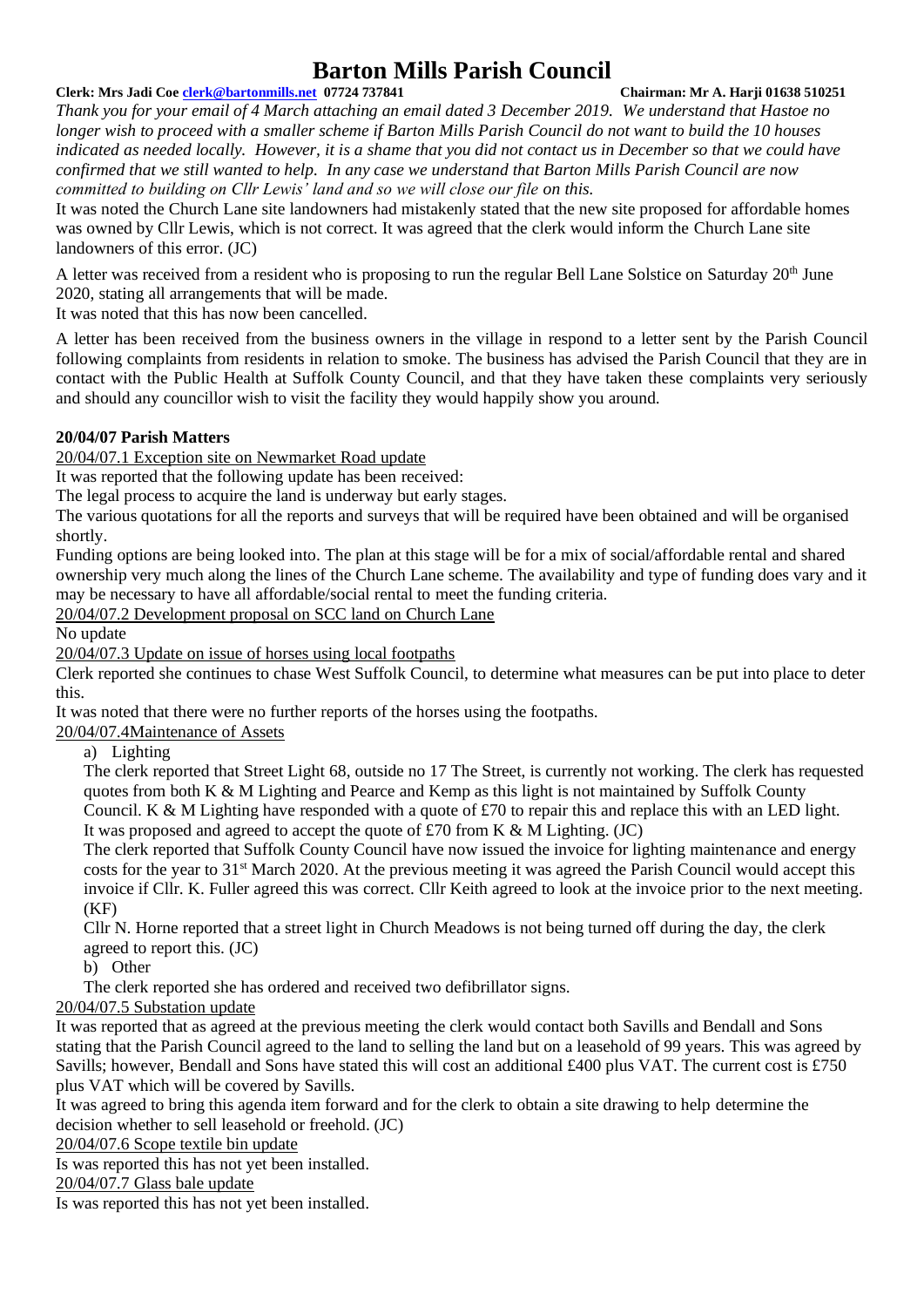#### **Clerk: Mrs Jadi Coe [clerk@bartonmills.net](mailto:clerk@bartonmills.net) 07724 737841 Chairman: Mr A. Harji 01638 510251**

*Thank you for your email of 4 March attaching an email dated 3 December 2019. We understand that Hastoe no longer wish to proceed with a smaller scheme if Barton Mills Parish Council do not want to build the 10 houses indicated as needed locally. However, it is a shame that you did not contact us in December so that we could have confirmed that we still wanted to help. In any case we understand that Barton Mills Parish Council are now committed to building on Cllr Lewis' land and so we will close our file on this.*

It was noted the Church Lane site landowners had mistakenly stated that the new site proposed for affordable homes was owned by Cllr Lewis, which is not correct. It was agreed that the clerk would inform the Church Lane site landowners of this error. (JC)

A letter was received from a resident who is proposing to run the regular Bell Lane Solstice on Saturday  $20<sup>th</sup>$  June 2020, stating all arrangements that will be made.

It was noted that this has now been cancelled.

A letter has been received from the business owners in the village in respond to a letter sent by the Parish Council following complaints from residents in relation to smoke. The business has advised the Parish Council that they are in contact with the Public Health at Suffolk County Council, and that they have taken these complaints very seriously and should any councillor wish to visit the facility they would happily show you around.

# **20/04/07 Parish Matters**

20/04/07.1 Exception site on Newmarket Road update

It was reported that the following update has been received:

The legal process to acquire the land is underway but early stages.

The various quotations for all the reports and surveys that will be required have been obtained and will be organised shortly.

Funding options are being looked into. The plan at this stage will be for a mix of social/affordable rental and shared ownership very much along the lines of the Church Lane scheme. The availability and type of funding does vary and it may be necessary to have all affordable/social rental to meet the funding criteria.

20/04/07.2 Development proposal on SCC land on Church Lane

No update

20/04/07.3 Update on issue of horses using local footpaths

Clerk reported she continues to chase West Suffolk Council, to determine what measures can be put into place to deter this.

It was noted that there were no further reports of the horses using the footpaths.

20/04/07.4Maintenance of Assets

a) Lighting

The clerk reported that Street Light 68, outside no 17 The Street, is currently not working. The clerk has requested quotes from both K  $\&$  M Lighting and Pearce and Kemp as this light is not maintained by Suffolk County Council. K & M Lighting have responded with a quote of £70 to repair this and replace this with an LED light. It was proposed and agreed to accept the quote of £70 from K  $\&$  M Lighting. (JC)

The clerk reported that Suffolk County Council have now issued the invoice for lighting maintenance and energy costs for the year to 31st March 2020. At the previous meeting it was agreed the Parish Council would accept this invoice if Cllr. K. Fuller agreed this was correct. Cllr Keith agreed to look at the invoice prior to the next meeting.  $(KF)$ 

Cllr N. Horne reported that a street light in Church Meadows is not being turned off during the day, the clerk agreed to report this. (JC)

b) Other

The clerk reported she has ordered and received two defibrillator signs.

# 20/04/07.5 Substation update

It was reported that as agreed at the previous meeting the clerk would contact both Savills and Bendall and Sons stating that the Parish Council agreed to the land to selling the land but on a leasehold of 99 years. This was agreed by Savills; however, Bendall and Sons have stated this will cost an additional £400 plus VAT. The current cost is £750 plus VAT which will be covered by Savills.

It was agreed to bring this agenda item forward and for the clerk to obtain a site drawing to help determine the decision whether to sell leasehold or freehold. (JC)

20/04/07.6 Scope textile bin update

Is was reported this has not yet been installed.

20/04/07.7 Glass bale update

Is was reported this has not yet been installed.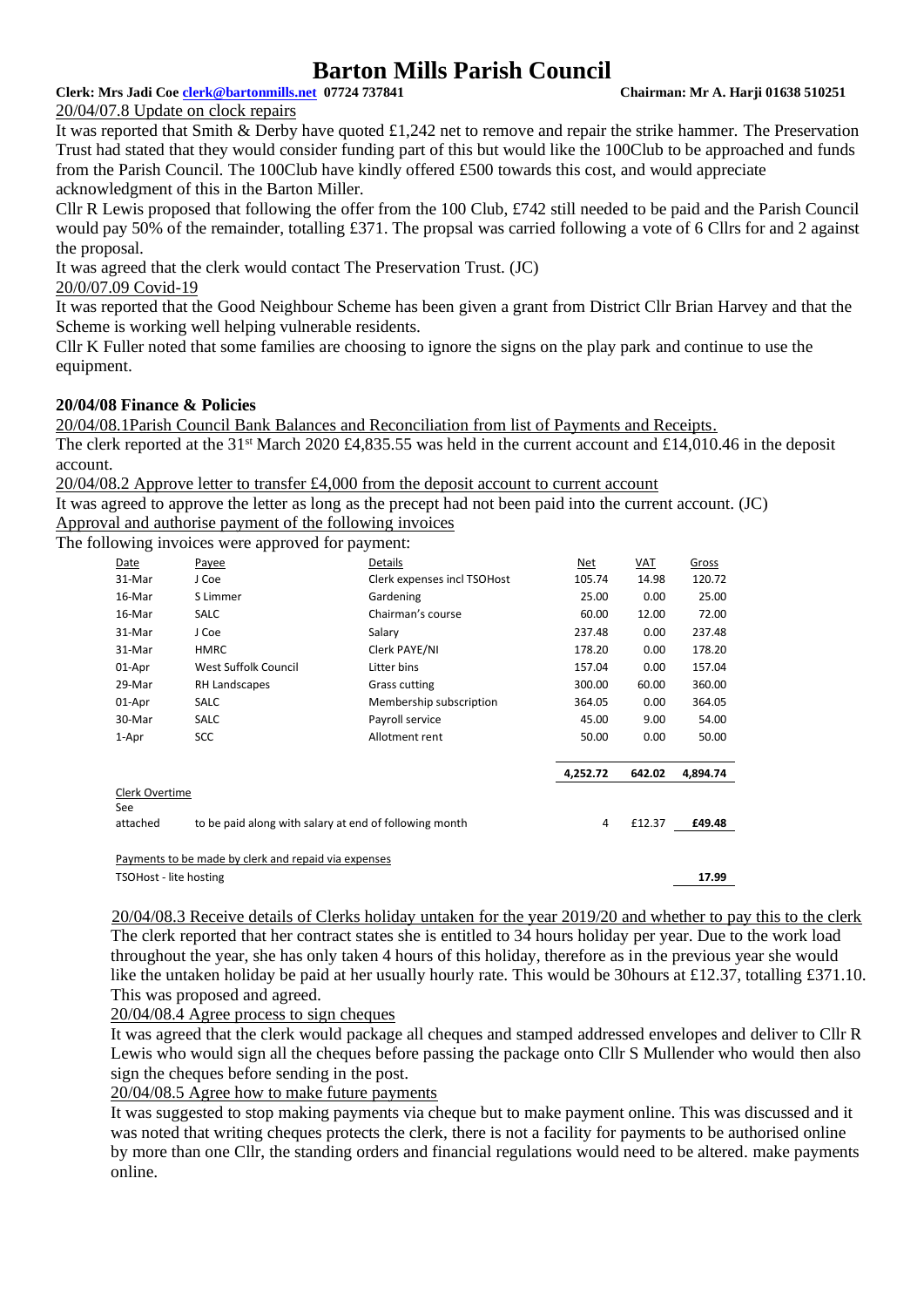### **Clerk: Mrs Jadi Coe [clerk@bartonmills.net](mailto:clerk@bartonmills.net) 07724 737841 Chairman: Mr A. Harji 01638 510251**

20/04/07.8 Update on clock repairs

It was reported that Smith & Derby have quoted £1,242 net to remove and repair the strike hammer. The Preservation Trust had stated that they would consider funding part of this but would like the 100Club to be approached and funds from the Parish Council. The 100Club have kindly offered £500 towards this cost, and would appreciate acknowledgment of this in the Barton Miller.

Cllr R Lewis proposed that following the offer from the 100 Club, £742 still needed to be paid and the Parish Council would pay 50% of the remainder, totalling £371. The propsal was carried following a vote of 6 Cllrs for and 2 against the proposal.

It was agreed that the clerk would contact The Preservation Trust. (JC) 20/0/07.09 Covid-19

It was reported that the Good Neighbour Scheme has been given a grant from District Cllr Brian Harvey and that the Scheme is working well helping vulnerable residents.

Cllr K Fuller noted that some families are choosing to ignore the signs on the play park and continue to use the equipment.

### **20/04/08 Finance & Policies**

20/04/08.1Parish Council Bank Balances and Reconciliation from list of Payments and Receipts.

The clerk reported at the 31<sup>st</sup> March 2020 £4,835.55 was held in the current account and £14,010.46 in the deposit account.

20/04/08.2 Approve letter to transfer £4,000 from the deposit account to current account

It was agreed to approve the letter as long as the precept had not been paid into the current account. (JC) Approval and authorise payment of the following invoices

The following invoices were approved for payment:

| Date                                                 | Payee                                                  | Details                     | Net      | VAT    | Gross    |
|------------------------------------------------------|--------------------------------------------------------|-----------------------------|----------|--------|----------|
| 31-Mar                                               | J Coe                                                  | Clerk expenses incl TSOHost | 105.74   | 14.98  | 120.72   |
| 16-Mar                                               | S Limmer                                               | Gardening                   | 25.00    | 0.00   | 25.00    |
| 16-Mar                                               | <b>SALC</b>                                            | Chairman's course           | 60.00    | 12.00  | 72.00    |
| 31-Mar                                               | J Coe                                                  | Salary                      | 237.48   | 0.00   | 237.48   |
| 31-Mar                                               | <b>HMRC</b>                                            | Clerk PAYE/NI               | 178.20   | 0.00   | 178.20   |
| 01-Apr                                               | West Suffolk Council                                   | Litter bins                 | 157.04   | 0.00   | 157.04   |
| 29-Mar                                               | RH Landscapes                                          | <b>Grass cutting</b>        | 300.00   | 60.00  | 360.00   |
| 01-Apr                                               | SALC                                                   | Membership subscription     | 364.05   | 0.00   | 364.05   |
| 30-Mar                                               | <b>SALC</b>                                            | Payroll service             | 45.00    | 9.00   | 54.00    |
| 1-Apr                                                | <b>SCC</b>                                             | Allotment rent              | 50.00    | 0.00   | 50.00    |
|                                                      |                                                        |                             |          |        |          |
|                                                      |                                                        |                             | 4,252.72 | 642.02 | 4,894.74 |
| Clerk Overtime                                       |                                                        |                             |          |        |          |
| See                                                  |                                                        |                             |          |        |          |
| attached                                             | to be paid along with salary at end of following month |                             |          | £12.37 | £49.48   |
|                                                      |                                                        |                             |          |        |          |
| Payments to be made by clerk and repaid via expenses |                                                        |                             |          |        |          |
| TSOHost - lite hosting                               |                                                        |                             |          |        | 17.99    |

20/04/08.3 Receive details of Clerks holiday untaken for the year 2019/20 and whether to pay this to the clerk The clerk reported that her contract states she is entitled to 34 hours holiday per year. Due to the work load throughout the year, she has only taken 4 hours of this holiday, therefore as in the previous year she would like the untaken holiday be paid at her usually hourly rate. This would be 30 hours at £12.37, totalling £371.10. This was proposed and agreed.

20/04/08.4 Agree process to sign cheques

It was agreed that the clerk would package all cheques and stamped addressed envelopes and deliver to Cllr R Lewis who would sign all the cheques before passing the package onto Cllr S Mullender who would then also sign the cheques before sending in the post.

20/04/08.5 Agree how to make future payments

It was suggested to stop making payments via cheque but to make payment online. This was discussed and it was noted that writing cheques protects the clerk, there is not a facility for payments to be authorised online by more than one Cllr, the standing orders and financial regulations would need to be altered. make payments online.